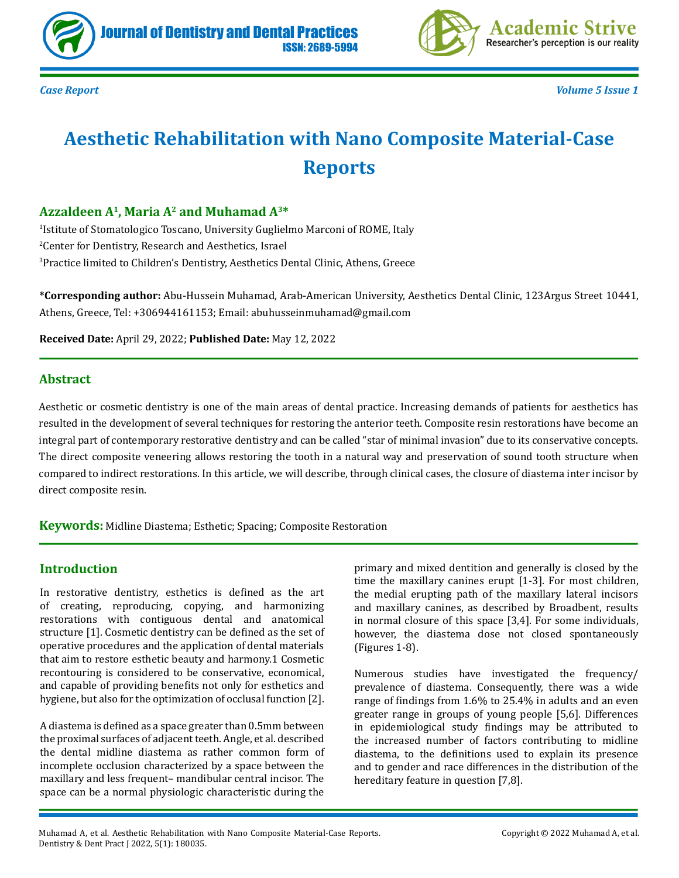



*Case Report Volume 5 Issue 1*

# **Aesthetic Rehabilitation with Nano Composite Material-Case Reports**

# **Azzaldeen A1, Maria A2 and Muhamad A3\***

1 Istitute of Stomatologico Toscano, University Guglielmo Marconi of ROME, Italy 2 Center for Dentistry, Research and Aesthetics, Israel 3 Practice limited to Children's Dentistry, Aesthetics Dental Clinic, Athens, Greece

**\*Corresponding author:** Abu-Hussein Muhamad, Arab-American University, Aesthetics Dental Clinic, 123Argus Street 10441, Athens, Greece, Tel: +306944161153; Email: abuhusseinmuhamad@gmail.com

**Received Date:** April 29, 2022; **Published Date:** May 12, 2022

### **Abstract**

Aesthetic or cosmetic dentistry is one of the main areas of dental practice. Increasing demands of patients for aesthetics has resulted in the development of several techniques for restoring the anterior teeth. Composite resin restorations have become an integral part of contemporary restorative dentistry and can be called "star of minimal invasion" due to its conservative concepts. The direct composite veneering allows restoring the tooth in a natural way and preservation of sound tooth structure when compared to indirect restorations. In this article, we will describe, through clinical cases, the closure of diastema inter incisor by direct composite resin.

**Keywords:** Midline Diastema; Esthetic; Spacing; Composite Restoration

### **Introduction**

In restorative dentistry, esthetics is defined as the art of creating, reproducing, copying, and harmonizing restorations with contiguous dental and anatomical structure [1]. Cosmetic dentistry can be defined as the set of operative procedures and the application of dental materials that aim to restore esthetic beauty and harmony.1 Cosmetic recontouring is considered to be conservative, economical, and capable of providing benefits not only for esthetics and hygiene, but also for the optimization of occlusal function [2].

A diastema is defined as a space greater than 0.5mm between the proximal surfaces of adjacent teeth. Angle, et al. described the dental midline diastema as rather common form of incomplete occlusion characterized by a space between the maxillary and less frequent– mandibular central incisor. The space can be a normal physiologic characteristic during the

primary and mixed dentition and generally is closed by the time the maxillary canines erupt [1-3]. For most children, the medial erupting path of the maxillary lateral incisors and maxillary canines, as described by Broadbent, results in normal closure of this space [3,4]. For some individuals, however, the diastema dose not closed spontaneously (Figures 1-8).

Numerous studies have investigated the frequency/ prevalence of diastema. Consequently, there was a wide range of findings from 1.6% to 25.4% in adults and an even greater range in groups of young people [5,6]. Differences in epidemiological study findings may be attributed to the increased number of factors contributing to midline diastema, to the definitions used to explain its presence and to gender and race differences in the distribution of the hereditary feature in question [7,8].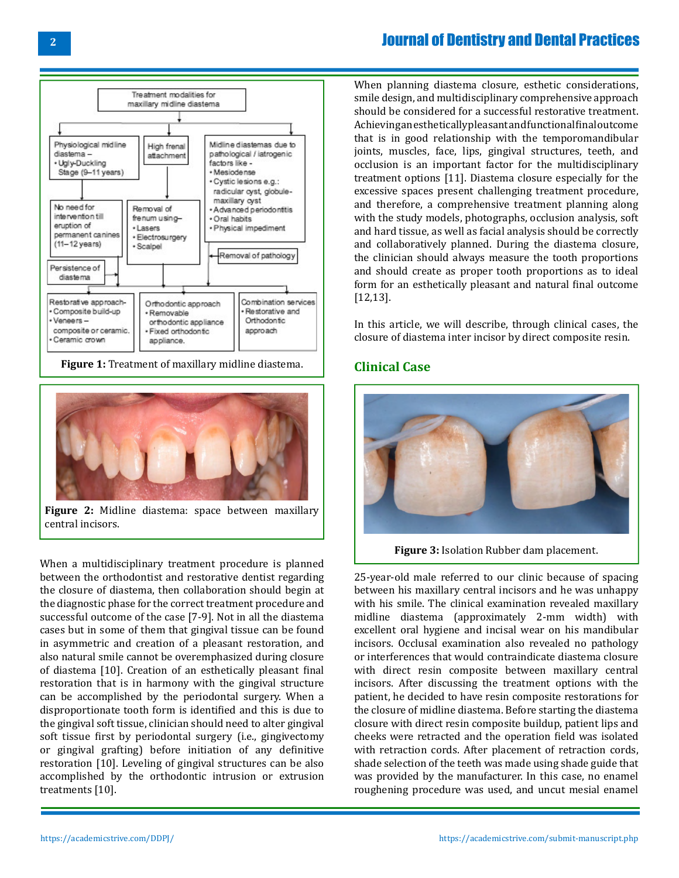

**Figure 1:** Treatment of maxillary midline diastema.



**Figure 2:** Midline diastema: space between maxillary central incisors.

When a multidisciplinary treatment procedure is planned between the orthodontist and restorative dentist regarding the closure of diastema, then collaboration should begin at the diagnostic phase for the correct treatment procedure and successful outcome of the case [7-9]. Not in all the diastema cases but in some of them that gingival tissue can be found in asymmetric and creation of a pleasant restoration, and also natural smile cannot be overemphasized during closure of diastema [10]. Creation of an esthetically pleasant final restoration that is in harmony with the gingival structure can be accomplished by the periodontal surgery. When a disproportionate tooth form is identified and this is due to the gingival soft tissue, clinician should need to alter gingival soft tissue first by periodontal surgery (i.e., gingivectomy or gingival grafting) before initiation of any definitive restoration [10]. Leveling of gingival structures can be also accomplished by the orthodontic intrusion or extrusion treatments [10].

When planning diastema closure, esthetic considerations, smile design, and multidisciplinary comprehensive approach should be considered for a successful restorative treatment. Achieving an esthetically pleasant and functional final outcome that is in good relationship with the temporomandibular joints, muscles, face, lips, gingival structures, teeth, and occlusion is an important factor for the multidisciplinary treatment options [11]. Diastema closure especially for the excessive spaces present challenging treatment procedure, and therefore, a comprehensive treatment planning along with the study models, photographs, occlusion analysis, soft and hard tissue, as well as facial analysis should be correctly and collaboratively planned. During the diastema closure, the clinician should always measure the tooth proportions and should create as proper tooth proportions as to ideal form for an esthetically pleasant and natural final outcome [12,13].

In this article, we will describe, through clinical cases, the closure of diastema inter incisor by direct composite resin.

### **Clinical Case**



**Figure 3:** Isolation Rubber dam placement.

25-year-old male referred to our clinic because of spacing between his maxillary central incisors and he was unhappy with his smile. The clinical examination revealed maxillary midline diastema (approximately 2-mm width) with excellent oral hygiene and incisal wear on his mandibular incisors. Occlusal examination also revealed no pathology or interferences that would contraindicate diastema closure with direct resin composite between maxillary central incisors. After discussing the treatment options with the patient, he decided to have resin composite restorations for the closure of midline diastema. Before starting the diastema closure with direct resin composite buildup, patient lips and cheeks were retracted and the operation field was isolated with retraction cords. After placement of retraction cords, shade selection of the teeth was made using shade guide that was provided by the manufacturer. In this case, no enamel roughening procedure was used, and uncut mesial enamel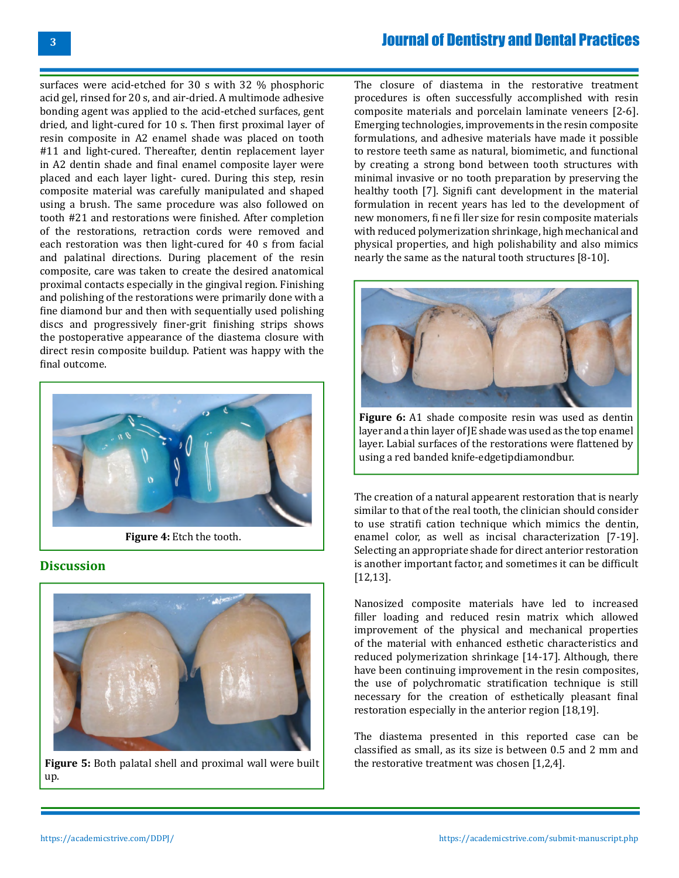surfaces were acid-etched for 30 s with 32 % phosphoric acid gel, rinsed for 20 s, and air-dried. A multimode adhesive bonding agent was applied to the acid-etched surfaces, gent dried, and light-cured for 10 s. Then first proximal layer of resin composite in A2 enamel shade was placed on tooth #11 and light-cured. Thereafter, dentin replacement layer in A2 dentin shade and final enamel composite layer were placed and each layer light- cured. During this step, resin composite material was carefully manipulated and shaped using a brush. The same procedure was also followed on tooth #21 and restorations were finished. After completion of the restorations, retraction cords were removed and each restoration was then light-cured for 40 s from facial and palatinal directions. During placement of the resin composite, care was taken to create the desired anatomical proximal contacts especially in the gingival region. Finishing and polishing of the restorations were primarily done with a fine diamond bur and then with sequentially used polishing discs and progressively finer-grit finishing strips shows the postoperative appearance of the diastema closure with direct resin composite buildup. Patient was happy with the final outcome.



 **Figure 4:** Etch the tooth.

#### **Discussion**



**Figure 5:** Both palatal shell and proximal wall were built up.

The closure of diastema in the restorative treatment procedures is often successfully accomplished with resin composite materials and porcelain laminate veneers [2-6]. Emerging technologies, improvements in the resin composite formulations, and adhesive materials have made it possible to restore teeth same as natural, biomimetic, and functional by creating a strong bond between tooth structures with minimal invasive or no tooth preparation by preserving the healthy tooth [7]. Signifi cant development in the material formulation in recent years has led to the development of new monomers, fi ne fi ller size for resin composite materials with reduced polymerization shrinkage, high mechanical and physical properties, and high polishability and also mimics nearly the same as the natural tooth structures [8-10].



**Figure 6:** A1 shade composite resin was used as dentin layer and a thin layer of JE shade was used as the top enamel layer. Labial surfaces of the restorations were flattened by using a red banded knife-edgetipdiamondbur.

Τhe creation of a natural appearent restoration that is nearly similar to that of the real tooth, the clinician should consider to use stratifi cation technique which mimics the dentin, enamel color, as well as incisal characterization [7-19]. Selecting an appropriate shade for direct anterior restoration is another important factor, and sometimes it can be difficult [12,13].

Nanosized composite materials have led to increased filler loading and reduced resin matrix which allowed improvement of the physical and mechanical properties of the material with enhanced esthetic characteristics and reduced polymerization shrinkage [14-17]. Although, there have been continuing improvement in the resin composites, the use of polychromatic stratification technique is still necessary for the creation of esthetically pleasant final restoration especially in the anterior region [18,19].

The diastema presented in this reported case can be classified as small, as its size is between 0.5 and 2 mm and the restorative treatment was chosen [1,2,4].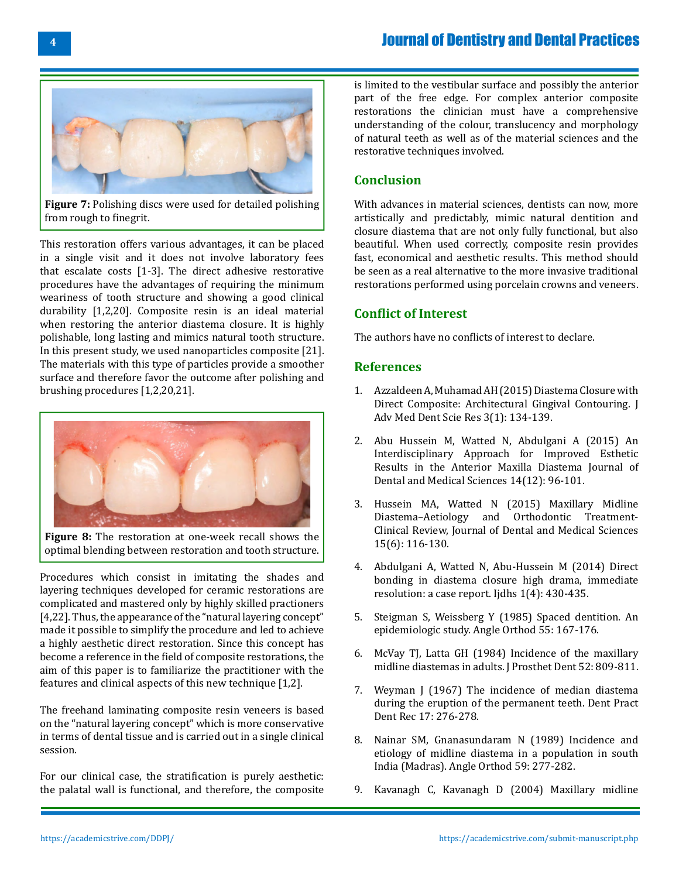

**Figure 7:** Polishing discs were used for detailed polishing from rough to finegrit.

This restoration offers various advantages, it can be placed in a single visit and it does not involve laboratory fees that escalate costs [1-3]. The direct adhesive restorative procedures have the advantages of requiring the minimum weariness of tooth structure and showing a good clinical durability [1,2,20]. Composite resin is an ideal material when restoring the anterior diastema closure. It is highly polishable, long lasting and mimics natural tooth structure. In this present study, we used nanoparticles composite [21]. The materials with this type of particles provide a smoother surface and therefore favor the outcome after polishing and brushing procedures [1,2,20,21].



**Figure 8:** The restoration at one-week recall shows the optimal blending between restoration and tooth structure.

Procedures which consist in imitating the shades and layering techniques developed for ceramic restorations are complicated and mastered only by highly skilled practioners [4,22]. Thus, the appearance of the "natural layering concept" made it possible to simplify the procedure and led to achieve a highly aesthetic direct restoration. Since this concept has become a reference in the field of composite restorations, the aim of this paper is to familiarize the practitioner with the features and clinical aspects of this new technique [1,2].

The freehand laminating composite resin veneers is based on the "natural layering concept" which is more conservative in terms of dental tissue and is carried out in a single clinical session.

For our clinical case, the stratification is purely aesthetic: the palatal wall is functional, and therefore, the composite is limited to the vestibular surface and possibly the anterior part of the free edge. For complex anterior composite restorations the clinician must have a comprehensive understanding of the colour, translucency and morphology of natural teeth as well as of the material sciences and the restorative techniques involved.

### **Conclusion**

With advances in material sciences, dentists can now, more artistically and predictably, mimic natural dentition and closure diastema that are not only fully functional, but also beautiful. When used correctly, composite resin provides fast, economical and aesthetic results. This method should be seen as a real alternative to the more invasive traditional restorations performed using porcelain crowns and veneers.

# **Conflict of Interest**

The authors have no conflicts of interest to declare.

#### **References**

- 1. [Azzaldeen A, Muhamad AH \(2015\) Diastema Closure with](http://jamdsr.com/uploadfiles/19.DIASTEMACLOSUREWITHDIRECTCOMPOSITEARCHITECTURALGINGIVALCONTOURING.20150306122816.pdf)  [Direct Composite: Architectural Gingival Contouring. J](http://jamdsr.com/uploadfiles/19.DIASTEMACLOSUREWITHDIRECTCOMPOSITEARCHITECTURALGINGIVALCONTOURING.20150306122816.pdf) [Adv Med Dent Scie Res 3\(1\): 134-139.](http://jamdsr.com/uploadfiles/19.DIASTEMACLOSUREWITHDIRECTCOMPOSITEARCHITECTURALGINGIVALCONTOURING.20150306122816.pdf)
- 2. [Abu Hussein M, Watted N, Abdulgani A \(2015\) An](https://pubmed.ncbi.nlm.nih.gov/12589277/)  [Interdisciplinary Approach for Improved Esthetic](https://pubmed.ncbi.nlm.nih.gov/12589277/) [Results in the Anterior Maxilla Diastema Journal of](https://pubmed.ncbi.nlm.nih.gov/12589277/)  [Dental and Medical Sciences 14\(12\): 96-101.](https://pubmed.ncbi.nlm.nih.gov/12589277/)
- 3. [Hussein MA, Watted N \(2015\) Maxillary Midline](https://www.iosrjournals.org/iosr-jdms/papers/Vol15-Issue%206/Version-2/T150602116130.pdf)  [Diastema–Aetiology and Orthodontic Treatment-](https://www.iosrjournals.org/iosr-jdms/papers/Vol15-Issue%206/Version-2/T150602116130.pdf)[Clinical Review, Journal of Dental and Medical Sciences](https://www.iosrjournals.org/iosr-jdms/papers/Vol15-Issue%206/Version-2/T150602116130.pdf)  [15\(6\): 116-130.](https://www.iosrjournals.org/iosr-jdms/papers/Vol15-Issue%206/Version-2/T150602116130.pdf)
- 4. [Abdulgani A, Watted N, Abu-Hussein M \(2014\) Direct](https://www.semanticscholar.org/paper/DIRECT-BONDING-IN-DIASTEMA-CLOSURE-HIGH-DRAMA-%2C-%3A-A-Azzaldeen-Nezar/3a24fdb5ccb406b67204f234d9b967cab636a5ea) [bonding in diastema closure high drama, immediate](https://www.semanticscholar.org/paper/DIRECT-BONDING-IN-DIASTEMA-CLOSURE-HIGH-DRAMA-%2C-%3A-A-Azzaldeen-Nezar/3a24fdb5ccb406b67204f234d9b967cab636a5ea)  [resolution: a case report. Ijdhs 1\(4\): 430-435.](https://www.semanticscholar.org/paper/DIRECT-BONDING-IN-DIASTEMA-CLOSURE-HIGH-DRAMA-%2C-%3A-A-Azzaldeen-Nezar/3a24fdb5ccb406b67204f234d9b967cab636a5ea)
- 5. [Steigman S, Weissberg Y \(1985\) Spaced dentition. An](https://pubmed.ncbi.nlm.nih.gov/3860028/)  [epidemiologic study. Angle Orthod 55: 167-176.](https://pubmed.ncbi.nlm.nih.gov/3860028/)
- 6. [McVay TJ, Latta GH \(1984\) Incidence of the maxillary](https://pubmed.ncbi.nlm.nih.gov/6595391/)  [midline diastemas in adults. J Prosthet Dent 52: 809-811.](https://pubmed.ncbi.nlm.nih.gov/6595391/)
- 7. [Weyman J \(1967\) The incidence of median diastema](https://pubmed.ncbi.nlm.nih.gov/5228690/) [during the eruption of the permanent teeth. Dent Pract](https://pubmed.ncbi.nlm.nih.gov/5228690/)  [Dent Rec 17: 276-278.](https://pubmed.ncbi.nlm.nih.gov/5228690/)
- 8. [Nainar SM, Gnanasundaram N \(1989\) Incidence and](https://pubmed.ncbi.nlm.nih.gov/2596749/)  [etiology of midline diastema in a population in south](https://pubmed.ncbi.nlm.nih.gov/2596749/)  [India \(Madras\). Angle Orthod 59: 277-282.](https://pubmed.ncbi.nlm.nih.gov/2596749/)
- 9. [Kavanagh C, Kavanagh D \(2004\) Maxillary midline](https://pubmed.ncbi.nlm.nih.gov/15132081/)